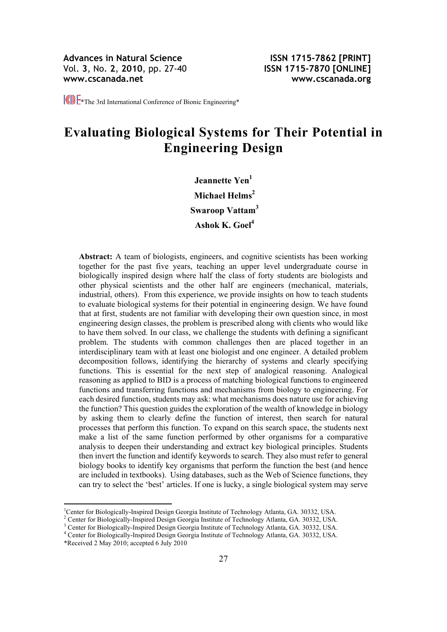**Advances in Natural Science**  Vol. **3**, No. **2**, **2010**, pp. 27-40 **www.cscanada.net**

**ISSN 1715-7862 [PRINT] ISSN 1715-7870 [ONLINE] www.cscanada.org**

**SE**\*The 3rd International Conference of Bionic Engineering\*

# **Evaluating Biological Systems for Their Potential in Engineering Design**

**Jeannette Yen1 Michael Helms2 Swaroop Vattam3 Ashok K. Goel4**

**Abstract:** A team of biologists, engineers, and cognitive scientists has been working together for the past five years, teaching an upper level undergraduate course in biologically inspired design where half the class of forty students are biologists and other physical scientists and the other half are engineers (mechanical, materials, industrial, others). From this experience, we provide insights on how to teach students to evaluate biological systems for their potential in engineering design. We have found that at first, students are not familiar with developing their own question since, in most engineering design classes, the problem is prescribed along with clients who would like to have them solved. In our class, we challenge the students with defining a significant problem. The students with common challenges then are placed together in an interdisciplinary team with at least one biologist and one engineer. A detailed problem decomposition follows, identifying the hierarchy of systems and clearly specifying functions. This is essential for the next step of analogical reasoning. Analogical reasoning as applied to BID is a process of matching biological functions to engineered functions and transferring functions and mechanisms from biology to engineering. For each desired function, students may ask: what mechanisms does nature use for achieving the function? This question guides the exploration of the wealth of knowledge in biology by asking them to clearly define the function of interest, then search for natural processes that perform this function. To expand on this search space, the students next make a list of the same function performed by other organisms for a comparative analysis to deepen their understanding and extract key biological principles. Students then invert the function and identify keywords to search. They also must refer to general biology books to identify key organisms that perform the function the best (and hence are included in textbooks). Using databases, such as the Web of Science functions, they can try to select the 'best' articles. If one is lucky, a single biological system may serve

1

<sup>&</sup>lt;sup>1</sup>Center for Biologically-Inspired Design Georgia Institute of Technology Atlanta, GA. 30332, USA.

<sup>&</sup>lt;sup>2</sup> Center for Biologically-Inspired Design Georgia Institute of Technology Atlanta, GA. 30332, USA.

<sup>&</sup>lt;sup>3</sup> Center for Biologically-Inspired Design Georgia Institute of Technology Atlanta, GA. 30332, USA.

Center for Biologically-Inspired Design Georgia Institute of Technology Atlanta, GA. 30332, USA.

<sup>\*</sup>Received 2 May 2010; accepted 6 July 2010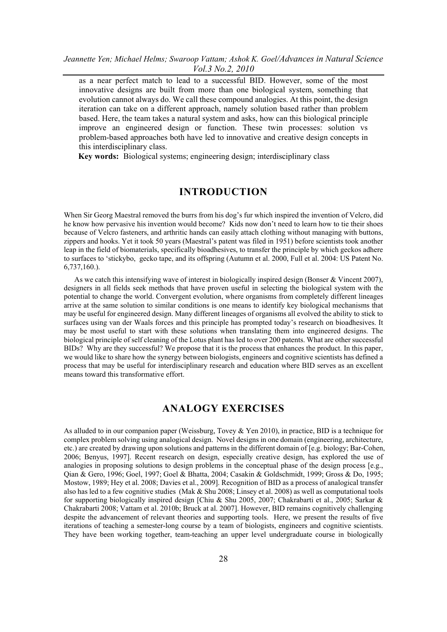as a near perfect match to lead to a successful BID. However, some of the most innovative designs are built from more than one biological system, something that evolution cannot always do. We call these compound analogies. At this point, the design iteration can take on a different approach, namely solution based rather than problem based. Here, the team takes a natural system and asks, how can this biological principle improve an engineered design or function. These twin processes: solution vs problem-based approaches both have led to innovative and creative design concepts in this interdisciplinary class.

 **Key words:** Biological systems; engineering design; interdisciplinary class

### **INTRODUCTION**

When Sir Georg Maestral removed the burrs from his dog's fur which inspired the invention of Velcro, did he know how pervasive his invention would become? Kids now don't need to learn how to tie their shoes because of Velcro fasteners, and arthritic hands can easily attach clothing without managing with buttons, zippers and hooks. Yet it took 50 years (Maestral's patent was filed in 1951) before scientists took another leap in the field of biomaterials, specifically bioadhesives, to transfer the principle by which geckos adhere to surfaces to 'stickybo, gecko tape, and its offspring (Autumn et al. 2000, Full et al. 2004: US Patent No. 6,737,160.).

As we catch this intensifying wave of interest in biologically inspired design (Bonser & Vincent 2007), designers in all fields seek methods that have proven useful in selecting the biological system with the potential to change the world. Convergent evolution, where organisms from completely different lineages arrive at the same solution to similar conditions is one means to identify key biological mechanisms that may be useful for engineered design. Many different lineages of organisms all evolved the ability to stick to surfaces using van der Waals forces and this principle has prompted today's research on bioadhesives. It may be most useful to start with these solutions when translating them into engineered designs. The biological principle of self cleaning of the Lotus plant has led to over 200 patents. What are other successful BIDs? Why are they successful? We propose that it is the process that enhances the product. In this paper, we would like to share how the synergy between biologists, engineers and cognitive scientists has defined a process that may be useful for interdisciplinary research and education where BID serves as an excellent means toward this transformative effort.

# **ANALOGY EXERCISES**

As alluded to in our companion paper (Weissburg, Tovey & Yen 2010), in practice, BID is a technique for complex problem solving using analogical design. Novel designs in one domain (engineering, architecture, etc.) are created by drawing upon solutions and patterns in the different domain of [e.g. biology; Bar-Cohen, 2006; Benyus, 1997]. Recent research on design, especially creative design, has explored the use of analogies in proposing solutions to design problems in the conceptual phase of the design process [e.g., Qian & Gero, 1996; Goel, 1997; Goel & Bhatta, 2004; Casakin & Goldschmidt, 1999; Gross & Do, 1995; Mostow, 1989; Hey et al. 2008; Davies et al., 2009]. Recognition of BID as a process of analogical transfer also has led to a few cognitive studies (Mak & Shu 2008; Linsey et al. 2008) as well as computational tools for supporting biologically inspired design [Chiu & Shu 2005, 2007; Chakrabarti et al., 2005; Sarkar & Chakrabarti 2008; Vattam et al. 2010b; Bruck at al. 2007]. However, BID remains cognitively challenging despite the advancement of relevant theories and supporting tools. Here, we present the results of five iterations of teaching a semester-long course by a team of biologists, engineers and cognitive scientists. They have been working together, team-teaching an upper level undergraduate course in biologically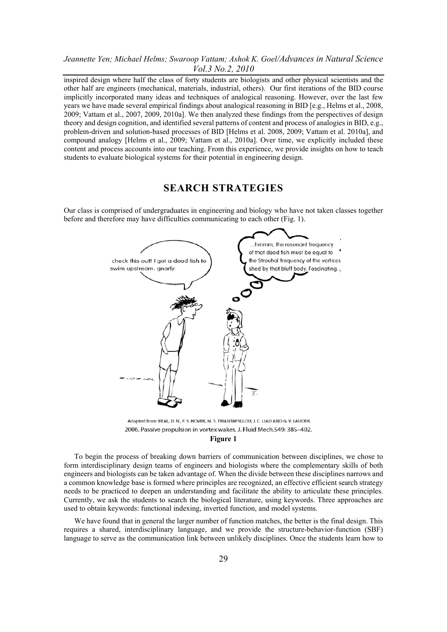inspired design where half the class of forty students are biologists and other physical scientists and the other half are engineers (mechanical, materials, industrial, others). Our first iterations of the BID course implicitly incorporated many ideas and techniques of analogical reasoning. However, over the last few years we have made several empirical findings about analogical reasoning in BID [e.g., Helms et al., 2008, 2009; Vattam et al., 2007, 2009, 2010a]. We then analyzed these findings from the perspectives of design theory and design cognition, and identified several patterns of content and process of analogies in BID, e.g., problem-driven and solution-based processes of BID [Helms et al. 2008, 2009; Vattam et al. 2010a], and compound analogy [Helms et al., 2009; Vattam et al., 2010a]. Over time, we explicitly included these content and process accounts into our teaching. From this experience, we provide insights on how to teach students to evaluate biological systems for their potential in engineering design.

# **SEARCH STRATEGIES**

Our class is comprised of undergraduates in engineering and biology who have not taken classes together before and therefore may have difficulties communicating to each other (Fig. 1).



2006. Passive propulsion in vortex wakes. J. Fluid Mech.549: 385-402. **Figure 1** 

To begin the process of breaking down barriers of communication between disciplines, we chose to form interdisciplinary design teams of engineers and biologists where the complementary skills of both engineers and biologists can be taken advantage of. When the divide between these disciplines narrows and a common knowledge base is formed where principles are recognized, an effective efficient search strategy needs to be practiced to deepen an understanding and facilitate the ability to articulate these principles. Currently, we ask the students to search the biological literature, using keywords. Three approaches are used to obtain keywords: functional indexing, inverted function, and model systems.

We have found that in general the larger number of function matches, the better is the final design. This requires a shared, interdisciplinary language, and we provide the structure-behavior-function (SBF) language to serve as the communication link between unlikely disciplines. Once the students learn how to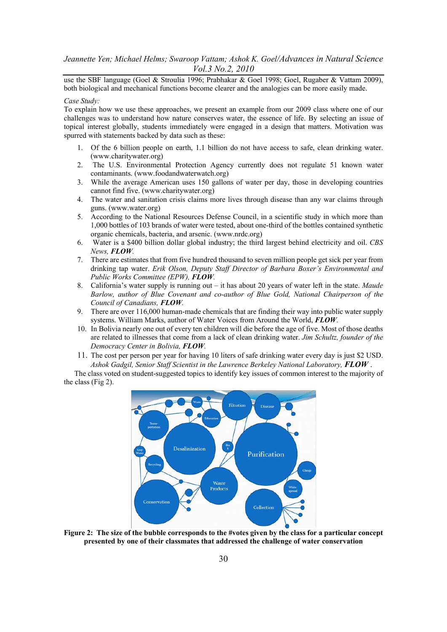use the SBF language (Goel & Stroulia 1996; Prabhakar & Goel 1998; Goel, Rugaber & Vattam 2009), both biological and mechanical functions become clearer and the analogies can be more easily made.

#### *Case Study:*

To explain how we use these approaches, we present an example from our 2009 class where one of our challenges was to understand how nature conserves water, the essence of life. By selecting an issue of topical interest globally, students immediately were engaged in a design that matters. Motivation was spurred with statements backed by data such as these:

- 1. Of the 6 billion people on earth, 1.1 billion do not have access to safe, clean drinking water. (www.charitywater.org)
- 2. The U.S. Environmental Protection Agency currently does not regulate 51 known water contaminants. (www.foodandwaterwatch.org)
- 3. While the average American uses 150 gallons of water per day, those in developing countries cannot find five. (www.charitywater.org)
- 4. The water and sanitation crisis claims more lives through disease than any war claims through guns. (www.water.org)
- 5. According to the National Resources Defense Council, in a scientific study in which more than 1,000 bottles of 103 brands of water were tested, about one-third of the bottles contained synthetic organic chemicals, bacteria, and arsenic. (www.nrdc.org)
- 6. Water is a \$400 billion dollar global industry; the third largest behind electricity and oil. *CBS News, FLOW.*
- 7. There are estimates that from five hundred thousand to seven million people get sick per year from drinking tap water. *Erik Olson, Deputy Staff Director of Barbara Boxer's Environmental and Public Works Committee (EPW), FLOW.*
- 8. California's water supply is running out it has about 20 years of water left in the state. *Maude Barlow, author of Blue Covenant and co-author of Blue Gold, National Chairperson of the Council of Canadians, FLOW.*
- 9. There are over 116,000 human-made chemicals that are finding their way into public water supply systems. William Marks, author of Water Voices from Around the World, *FLOW.*
- 10. In Bolivia nearly one out of every ten children will die before the age of five. Most of those deaths are related to illnesses that come from a lack of clean drinking water. *Jim Schultz, founder of the Democracy Center in Bolivia, FLOW.*
- 11. The cost per person per year for having 10 liters of safe drinking water every day is just \$2 USD. *Ashok Gadgil, Senior Staff Scientist in the Lawrence Berkeley National Laboratory, FLOW* .

The class voted on student-suggested topics to identify key issues of common interest to the majority of the class (Fig 2).



**Figure 2: The size of the bubble corresponds to the #votes given by the class for a particular concept presented by one of their classmates that addressed the challenge of water conservation**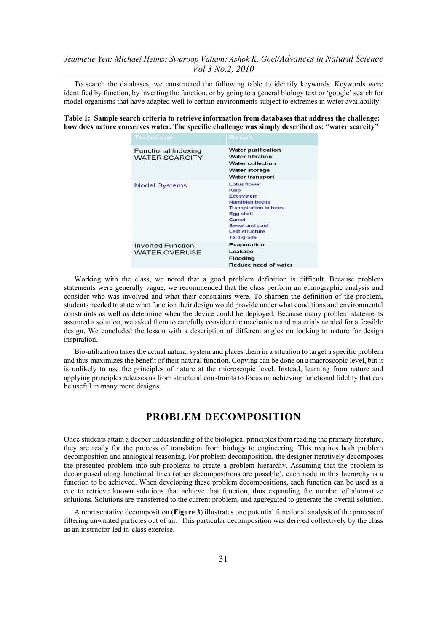To search the databases, we constructed the following table to identify keywords. Keywords were identified by function, by inverting the function, or by going to a general biology text or 'google' search for model organisms that have adapted well to certain environments subject to extremes in water availability.

#### **Table 1: Sample search criteria to retrieve information from databases that address the challenge: how does nature conserves water. The specific challenge was simply described as: "water scarcity"**

| <b>Technique</b>                                    | <b>Result</b>                                                                                                                                                                                                  |
|-----------------------------------------------------|----------------------------------------------------------------------------------------------------------------------------------------------------------------------------------------------------------------|
| <b>Functional Indexing</b><br><b>WATER SCARCITY</b> | <b>Water purification</b><br><b>Water filtration</b><br><b>Water collection</b><br><b>Water storage</b><br><b>Water transport</b>                                                                              |
| <b>Model Systems</b>                                | <b>Lotus flower</b><br><b>Kelp</b><br><b>Ecosystem</b><br><b>Namibian beetle</b><br><b>Transpiration in trees</b><br>Egg shell<br>Camel<br><b>Sweat and pant</b><br><b>Leaf structure</b><br><b>Tardigrade</b> |
| <b>Inverted Function</b><br>WATER OVERUSE           | Evaporation<br>Leakage<br><b>Flooding</b><br><b>Reduce need of water</b>                                                                                                                                       |

Working with the class, we noted that a good problem definition is difficult. Because problem statements were generally vague, we recommended that the class perform an ethnographic analysis and consider who was involved and what their constraints were. To sharpen the definition of the problem, students needed to state what function their design would provide under what conditions and environmental constraints as well as determine when the device could be deployed. Because many problem statements assumed a solution, we asked them to carefully consider the mechanism and materials needed for a feasible design. We concluded the lesson with a description of different angles on looking to nature for design inspiration.

Bio-utilization takes the actual natural system and places them in a situation to target a specific problem and thus maximizes the benefit of their natural function. Copying can be done on a macroscopic level, but it is unlikely to use the principles of nature at the microscopic level. Instead, learning from nature and applying principles releases us from structural constraints to focus on achieving functional fidelity that can be useful in many more designs.

### **PROBLEM DECOMPOSITION**

Once students attain a deeper understanding of the biological principles from reading the primary literature, they are ready for the process of translation from biology to engineering. This requires both problem decomposition and analogical reasoning. For problem decomposition, the designer iteratively decomposes the presented problem into sub-problems to create a problem hierarchy. Assuming that the problem is decomposed along functional lines (other decompositions are possible), each node in this hierarchy is a function to be achieved. When developing these problem decompositions, each function can be used as a cue to retrieve known solutions that achieve that function, thus expanding the number of alternative solutions. Solutions are transferred to the current problem, and aggregated to generate the overall solution.

A representative decomposition (**Figure 3**) illustrates one potential functional analysis of the process of filtering unwanted particles out of air. This particular decomposition was derived collectively by the class as an instructor-led in-class exercise.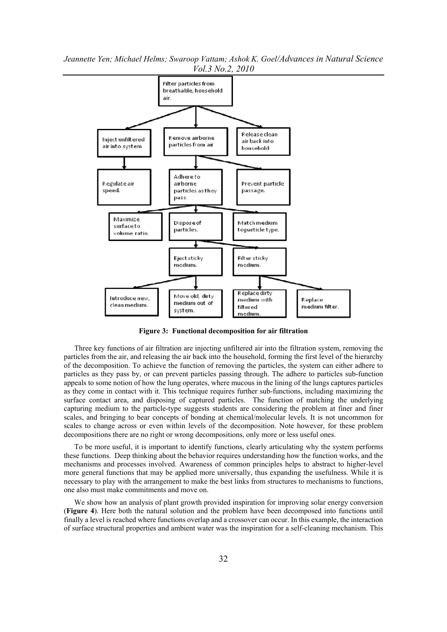*Jeannette Yen; Michael Helms; Swaroop Vattam; Ashok K. Goel/Advances in Natural Science Vol.3 No.2, 2010* 



**Figure 3: Functional decomposition for air filtration** 

Three key functions of air filtration are injecting unfiltered air into the filtration system, removing the particles from the air, and releasing the air back into the household, forming the first level of the hierarchy of the decomposition. To achieve the function of removing the particles, the system can either adhere to particles as they pass by, or can prevent particles passing through. The adhere to particles sub-function appeals to some notion of how the lung operates, where mucous in the lining of the lungs captures particles as they come in contact with it. This technique requires further sub-functions, including maximizing the surface contact area, and disposing of captured particles. The function of matching the underlying capturing medium to the particle-type suggests students are considering the problem at finer and finer scales, and bringing to bear concepts of bonding at chemical/molecular levels. It is not uncommon for scales to change across or even within levels of the decomposition. Note however, for these problem decompositions there are no right or wrong decompositions, only more or less useful ones.

To be more useful, it is important to identify functions, clearly articulating why the system performs these functions. Deep thinking about the behavior requires understanding how the function works, and the mechanisms and processes involved. Awareness of common principles helps to abstract to higher-level more general functions that may be applied more universally, thus expanding the usefulness. While it is necessary to play with the arrangement to make the best links from structures to mechanisms to functions, one also must make commitments and move on.

We show how an analysis of plant growth provided inspiration for improving solar energy conversion (**Figure 4**). Here both the natural solution and the problem have been decomposed into functions until finally a level is reached where functions overlap and a crossover can occur. In this example, the interaction of surface structural properties and ambient water was the inspiration for a self-cleaning mechanism. This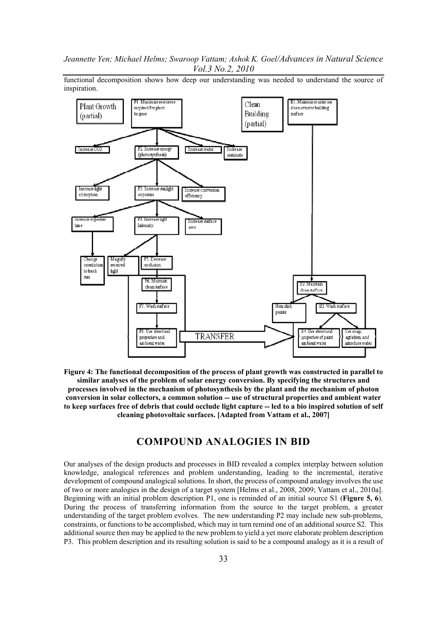*Jeannette Yen; Michael Helms; Swaroop Vattam; Ashok K. Goel/Advances in Natural Science Vol.3 No.2, 2010* 



functional decomposition shows how deep our understanding was needed to understand the source of inspiration.

**Figure 4: The functional decomposition of the process of plant growth was constructed in parallel to similar analyses of the problem of solar energy conversion. By specifying the structures and processes involved in the mechanism of photosynthesis by the plant and the mechanism of photon conversion in solar collectors, a common solution -- use of structural properties and ambient water to keep surfaces free of debris that could occlude light capture -- led to a bio inspired solution of self cleaning photovoltaic surfaces. [Adapted from Vattam et al., 2007]** 

## **COMPOUND ANALOGIES IN BID**

Our analyses of the design products and processes in BID revealed a complex interplay between solution knowledge, analogical references and problem understanding, leading to the incremental, iterative development of compound analogical solutions. In short, the process of compound analogy involves the use of two or more analogies in the design of a target system [Helms et al., 2008, 2009; Vattam et al., 2010a]. Beginning with an initial problem description P1, one is reminded of an initial source S1 (**Figure 5, 6**). During the process of transferring information from the source to the target problem, a greater understanding of the target problem evolves. The new understanding P2 may include new sub-problems, constraints, or functions to be accomplished, which may in turn remind one of an additional source S2. This additional source then may be applied to the new problem to yield a yet more elaborate problem description P3. This problem description and its resulting solution is said to be a compound analogy as it is a result of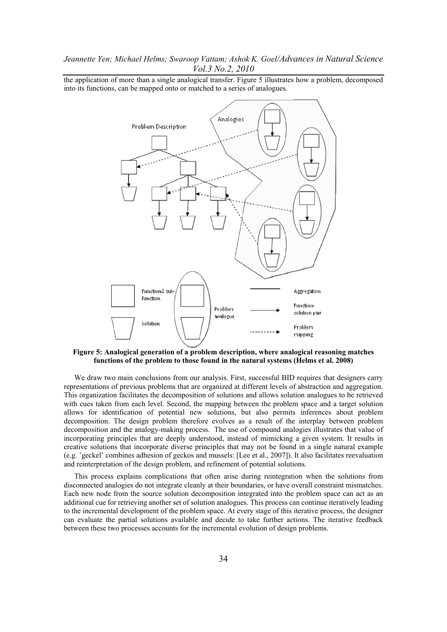*Jeannette Yen; Michael Helms; Swaroop Vattam; Ashok K. Goel/Advances in Natural Science Vol.3 No.2, 2010* 

the application of more than a single analogical transfer. Figure 5 illustrates how a problem, decomposed into its functions, can be mapped onto or matched to a series of analogues.



**Figure 5: Analogical generation of a problem description, where analogical reasoning matches functions of the problem to those found in the natural systems (Helms et al. 2008)** 

We draw two main conclusions from our analysis. First, successful BID requires that designers carry representations of previous problems that are organized at different levels of abstraction and aggregation. This organization facilitates the decomposition of solutions and allows solution analogues to be retrieved with cues taken from each level. Second, the mapping between the problem space and a target solution allows for identification of potential new solutions, but also permits inferences about problem decomposition. The design problem therefore evolves as a result of the interplay between problem decomposition and the analogy-making process. The use of compound analogies illustrates that value of incorporating principles that are deeply understood, instead of mimicking a given system. It results in creative solutions that incorporate diverse principles that may not be found in a single natural example (e.g. 'geckel' combines adhesion of geckos and mussels: [Lee et al., 2007]). It also facilitates reevaluation and reinterpretation of the design problem, and refinement of potential solutions.

This process explains complications that often arise during reintegration when the solutions from disconnected analogies do not integrate cleanly at their boundaries, or have overall constraint mismatches. Each new node from the source solution decomposition integrated into the problem space can act as an additional cue for retrieving another set of solution analogues. This process can continue iteratively leading to the incremental development of the problem space. At every stage of this iterative process, the designer can evaluate the partial solutions available and decide to take further actions. The iterative feedback between these two processes accounts for the incremental evolution of design problems.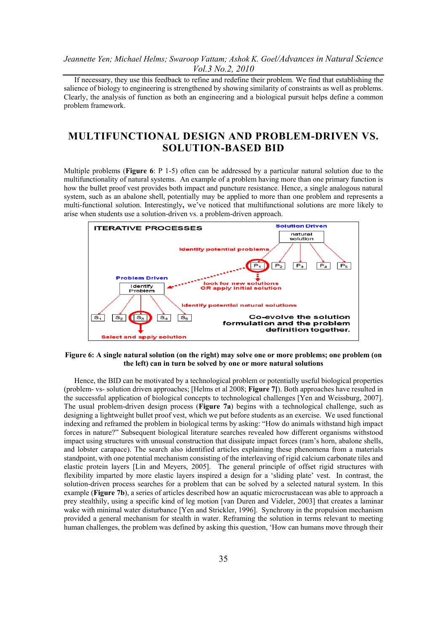If necessary, they use this feedback to refine and redefine their problem. We find that establishing the salience of biology to engineering is strengthened by showing similarity of constraints as well as problems. Clearly, the analysis of function as both an engineering and a biological pursuit helps define a common problem framework.

# **MULTIFUNCTIONAL DESIGN AND PROBLEM-DRIVEN VS. SOLUTION-BASED BID**

Multiple problems (**Figure 6**: P 1-5) often can be addressed by a particular natural solution due to the multifunctionality of natural systems. An example of a problem having more than one primary function is how the bullet proof vest provides both impact and puncture resistance. Hence, a single analogous natural system, such as an abalone shell, potentially may be applied to more than one problem and represents a multi-functional solution. Interestingly**,** we've noticed that multifunctional solutions are more likely to arise when students use a solution-driven vs. a problem-driven approach.



**Figure 6: A single natural solution (on the right) may solve one or more problems; one problem (on the left) can in turn be solved by one or more natural solutions** 

Hence, the BID can be motivated by a technological problem or potentially useful biological properties (problem- vs- solution driven approaches; [Helms et al 2008; **Figure 7]**). Both approaches have resulted in the successful application of biological concepts to technological challenges [Yen and Weissburg, 2007]. The usual problem-driven design process (**Figure 7a**) begins with a technological challenge, such as designing a lightweight bullet proof vest, which we put before students as an exercise. We used functional indexing and reframed the problem in biological terms by asking: "How do animals withstand high impact forces in nature?" Subsequent biological literature searches revealed how different organisms withstood impact using structures with unusual construction that dissipate impact forces (ram's horn, abalone shells, and lobster carapace). The search also identified articles explaining these phenomena from a materials standpoint, with one potential mechanism consisting of the interleaving of rigid calcium carbonate tiles and elastic protein layers [Lin and Meyers, 2005]. The general principle of offset rigid structures with flexibility imparted by more elastic layers inspired a design for a 'sliding plate' vest. In contrast, the solution-driven process searches for a problem that can be solved by a selected natural system. In this example (**Figure 7b**), a series of articles described how an aquatic microcrustacean was able to approach a prey stealthily, using a specific kind of leg motion [van Duren and Videler, 2003] that creates a laminar wake with minimal water disturbance [Yen and Strickler, 1996]. Synchrony in the propulsion mechanism provided a general mechanism for stealth in water. Reframing the solution in terms relevant to meeting human challenges, the problem was defined by asking this question, 'How can humans move through their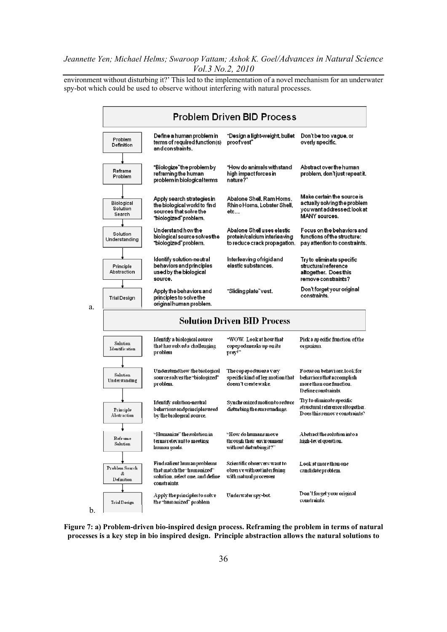environment without disturbing it?' This led to the implementation of a novel mechanism for an underwater spy-bot which could be used to observe without interfering with natural processes.



**Figure 7: a) Problem-driven bio-inspired design process. Reframing the problem in terms of natural processes is a key step in bio inspired design. Principle abstraction allows the natural solutions to**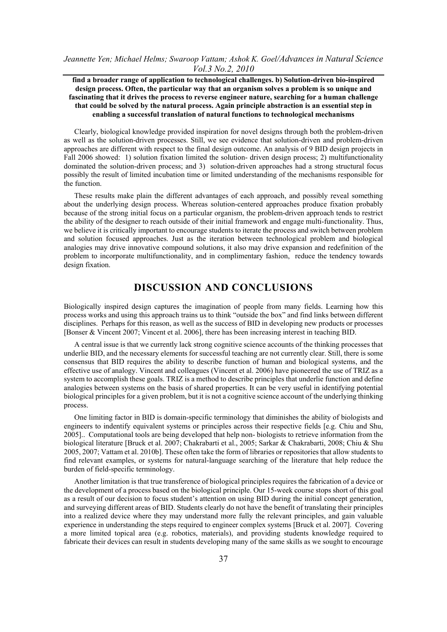**find a broader range of application to technological challenges. b) Solution-driven bio-inspired design process. Often, the particular way that an organism solves a problem is so unique and fascinating that it drives the process to reverse engineer nature, searching for a human challenge that could be solved by the natural process. Again principle abstraction is an essential step in enabling a successful translation of natural functions to technological mechanisms** 

Clearly, biological knowledge provided inspiration for novel designs through both the problem-driven as well as the solution-driven processes. Still, we see evidence that solution-driven and problem-driven approaches are different with respect to the final design outcome. An analysis of 9 BID design projects in Fall 2006 showed: 1) solution fixation limited the solution- driven design process; 2) multifunctionality dominated the solution-driven process; and 3) solution-driven approaches had a strong structural focus possibly the result of limited incubation time or limited understanding of the mechanisms responsible for the function.

These results make plain the different advantages of each approach, and possibly reveal something about the underlying design process. Whereas solution-centered approaches produce fixation probably because of the strong initial focus on a particular organism, the problem-driven approach tends to restrict the ability of the designer to reach outside of their initial framework and engage multi-functionality. Thus, we believe it is critically important to encourage students to iterate the process and switch between problem and solution focused approaches. Just as the iteration between technological problem and biological analogies may drive innovative compound solutions, it also may drive expansion and redefinition of the problem to incorporate multifunctionality, and in complimentary fashion, reduce the tendency towards design fixation.

# **DISCUSSION AND CONCLUSIONS**

Biologically inspired design captures the imagination of people from many fields. Learning how this process works and using this approach trains us to think "outside the box" and find links between different disciplines. Perhaps for this reason, as well as the success of BID in developing new products or processes [Bonser & Vincent 2007; Vincent et al. 2006], there has been increasing interest in teaching BID.

A central issue is that we currently lack strong cognitive science accounts of the thinking processes that underlie BID, and the necessary elements for successful teaching are not currently clear. Still, there is some consensus that BID requires the ability to describe function of human and biological systems, and the effective use of analogy. Vincent and colleagues (Vincent et al. 2006) have pioneered the use of TRIZ as a system to accomplish these goals. TRIZ is a method to describe principles that underlie function and define analogies between systems on the basis of shared properties. It can be very useful in identifying potential biological principles for a given problem, but it is not a cognitive science account of the underlying thinking process.

One limiting factor in BID is domain-specific terminology that diminishes the ability of biologists and engineers to indentify equivalent systems or principles across their respective fields [e.g. Chiu and Shu, 2005].. Computational tools are being developed that help non- biologists to retrieve information from the biological literature [Bruck et al. 2007; Chakrabarti et al., 2005; Sarkar & Chakrabarti, 2008; Chiu & Shu 2005, 2007; Vattam et al. 2010b]. These often take the form of libraries or repositories that allow students to find relevant examples, or systems for natural-language searching of the literature that help reduce the burden of field-specific terminology.

Another limitation is that true transference of biological principles requires the fabrication of a device or the development of a process based on the biological principle. Our 15-week course stops short of this goal as a result of our decision to focus student's attention on using BID during the initial concept generation, and surveying different areas of BID. Students clearly do not have the benefit of translating their principles into a realized device where they may understand more fully the relevant principles, and gain valuable experience in understanding the steps required to engineer complex systems [Bruck et al. 2007]. Covering a more limited topical area (e.g. robotics, materials), and providing students knowledge required to fabricate their devices can result in students developing many of the same skills as we sought to encourage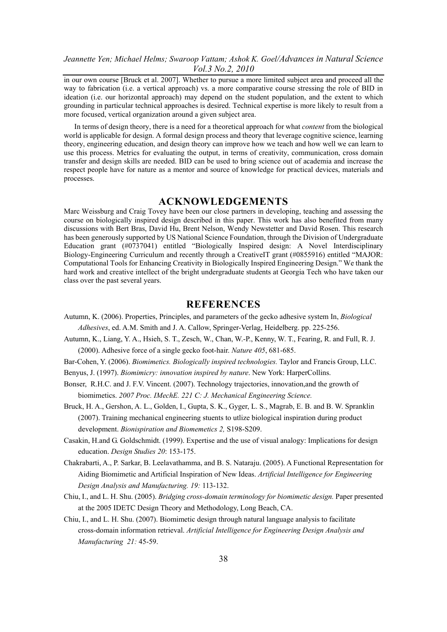in our own course [Bruck et al. 2007]. Whether to pursue a more limited subject area and proceed all the way to fabrication (i.e. a vertical approach) vs. a more comparative course stressing the role of BID in ideation (i.e. our horizontal approach) may depend on the student population, and the extent to which grounding in particular technical approaches is desired. Technical expertise is more likely to result from a more focused, vertical organization around a given subject area.

In terms of design theory, there is a need for a theoretical approach for what *content* from the biological world is applicable for design. A formal design process and theory that leverage cognitive science, learning theory, engineering education, and design theory can improve how we teach and how well we can learn to use this process. Metrics for evaluating the output, in terms of creativity, communication, cross domain transfer and design skills are needed. BID can be used to bring science out of academia and increase the respect people have for nature as a mentor and source of knowledge for practical devices, materials and processes.

#### **ACKNOWLEDGEMENTS**

Marc Weissburg and Craig Tovey have been our close partners in developing, teaching and assessing the course on biologically inspired design described in this paper. This work has also benefited from many discussions with Bert Bras, David Hu, Brent Nelson, Wendy Newstetter and David Rosen. This research has been generously supported by US National Science Foundation, through the Division of Undergraduate Education grant (#0737041) entitled "Biologically Inspired design: A Novel Interdisciplinary Biology-Engineering Curriculum and recently through a CreativeIT grant (#0855916) entitled "MAJOR: Computational Tools for Enhancing Creativity in Biologically Inspired Engineering Design." We thank the hard work and creative intellect of the bright undergraduate students at Georgia Tech who have taken our class over the past several years.

#### **REFERENCES**

- Autumn, K. (2006). Properties, Principles, and parameters of the gecko adhesive system In, *Biological Adhesives*, ed. A.M. Smith and J. A. Callow, Springer-Verlag, Heidelberg. pp. 225-256.
- Autumn, K., Liang, Y. A., Hsieh, S. T., Zesch, W., Chan, W.-P., Kenny, W. T., Fearing, R. and Full, R. J. (2000). Adhesive force of a single gecko foot-hair. *Nature 405*, 681-685.

Bar-Cohen, Y. (2006). *Biomimetics. Biologically inspired technologies.* Taylor and Francis Group, LLC.

- Benyus, J. (1997). *Biomimicry: innovation inspired by nature*. New York: HarperCollins.
- Bonser, R.H.C. and J. F.V. Vincent. (2007). Technology trajectories, innovation,and the growth of biomimetics. *2007 Proc. IMechE. 221 C: J. Mechanical Engineering Science.*
- Bruck, H. A., Gershon, A. L., Golden, I., Gupta, S. K., Gyger, L. S., Magrab, E. B. and B. W. Spranklin (2007). Training mechanical engineering stuents to utlize biological inspiration during product development. *Bionispiration and Biomemetics 2,* S198-S209.
- Casakin, H.and G. Goldschmidt. (1999). Expertise and the use of visual analogy: Implications for design education. *Design Studies 20*: 153-175.
- Chakrabarti, A., P. Sarkar, B. Leelavathamma, and B. S. Nataraju. (2005). A Functional Representation for Aiding Biomimetic and Artificial Inspiration of New Ideas. *Artificial Intelligence for Engineering Design Analysis and Manufacturing. 19:* 113-132.
- Chiu, I., and L. H. Shu. (2005). *Bridging cross-domain terminology for biomimetic design.* Paper presented at the 2005 IDETC Design Theory and Methodology, Long Beach, CA.
- Chiu, I., and L. H. Shu. (2007). Biomimetic design through natural language analysis to facilitate cross-domain information retrieval. *Artificial Intelligence for Engineering Design Analysis and Manufacturing 21:* 45-59.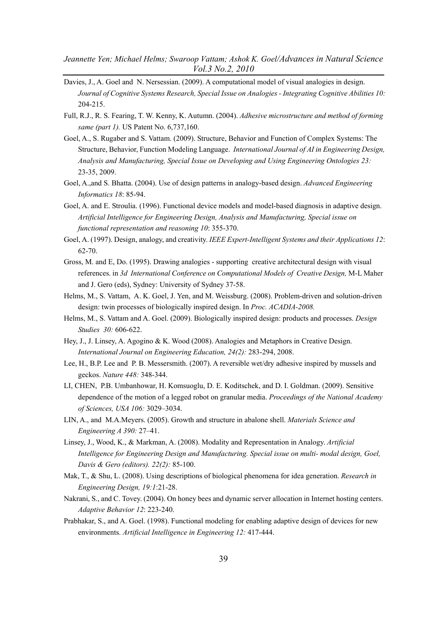- Davies, J., A. Goel and N. Nersessian. (2009). A computational model of visual analogies in design. *Journal of Cognitive Systems Research, Special Issue on Analogies - Integrating Cognitive Abilities 10:* 204-215.
- Full, R.J., R. S. Fearing, T. W. Kenny, K. Autumn. (2004). *Adhesive microstructure and method of forming same (part 1).* US Patent No. 6,737,160.
- Goel, A., S. Rugaber and S. Vattam. (2009). Structure, Behavior and Function of Complex Systems: The Structure, Behavior, Function Modeling Language. *International Journal of AI in Engineering Design, Analysis and Manufacturing, Special Issue on Developing and Using Engineering Ontologies 23:*  23-35, 2009.
- Goel, A.,and S. Bhatta. (2004). Use of design patterns in analogy-based design. *Advanced Engineering Informatics 18*: 85-94.
- Goel, A. and E. Stroulia. (1996). Functional device models and model-based diagnosis in adaptive design. *Artificial Intelligence for Engineering Design, Analysis and Manufacturing, Special issue on functional representation and reasoning 10*: 355-370.
- Goel, A. (1997). Design, analogy, and creativity. *IEEE Expert-Intelligent Systems and their Applications 12*: 62-70.
- Gross, M. and E, Do. (1995). Drawing analogies supporting creative architectural design with visual references. in *3d International Conference on Computational Models of Creative Design,* M-L Maher and J. Gero (eds), Sydney: University of Sydney 37-58.
- Helms, M., S. Vattam, A. K. Goel, J. Yen, and M. Weissburg. (2008). Problem-driven and solution-driven design: twin processes of biologically inspired design. In *Proc. ACADIA-2008.*
- Helms, M., S. Vattam and A. Goel. (2009). Biologically inspired design: products and processes. *Design Studies 30:* 606-622.
- Hey, J., J. Linsey, A. Agogino & K. Wood (2008). Analogies and Metaphors in Creative Design. *International Journal on Engineering Education, 24(2):* 283-294, 2008.
- Lee, H., B.P. Lee and P. B. Messersmith. (2007). A reversible wet/dry adhesive inspired by mussels and geckos. *Nature 448:* 348-344.
- LI, CHEN, P.B. Umbanhowar, H. Komsuoglu, D. E. Koditschek, and D. I. Goldman. (2009). Sensitive dependence of the motion of a legged robot on granular media. *Proceedings of the National Academy of Sciences, USA 106:* 3029–3034.
- LIN, A., and M.A.Meyers. (2005). Growth and structure in abalone shell. *Materials Science and Engineering A 390:* 27–41.
- Linsey, J., Wood, K., & Markman, A. (2008). Modality and Representation in Analogy. *Artificial Intelligence for Engineering Design and Manufacturing. Special issue on multi- modal design, Goel, Davis & Gero (editors). 22(2):* 85-100.
- Mak, T., & Shu, L. (2008). Using descriptions of biological phenomena for idea generation. *Research in Engineering Design, 19:1*:21-28.
- Nakrani, S., and C. Tovey. (2004). On honey bees and dynamic server allocation in Internet hosting centers. *Adaptive Behavior 12*: 223-240.
- Prabhakar, S., and A. Goel. (1998). Functional modeling for enabling adaptive design of devices for new environments. *Artificial Intelligence in Engineering 12:* 417-444.